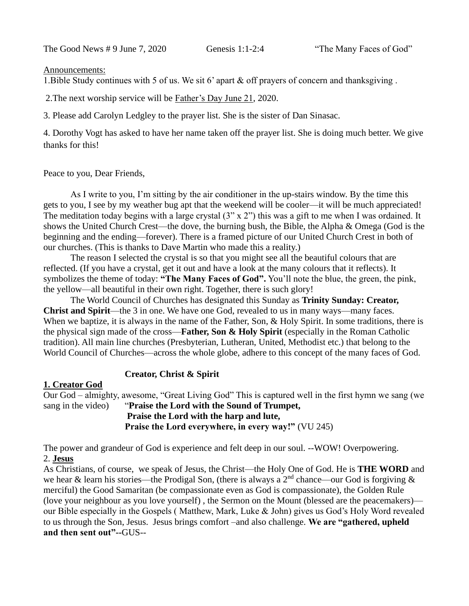The Good News # 9 June 7, 2020 Genesis 1:1-2:4 "The Many Faces of God"

## Announcements:

1.Bible Study continues with 5 of us. We sit 6' apart & off prayers of concern and thanksgiving .

2.The next worship service will be Father's Day June 21, 2020.

3. Please add Carolyn Ledgley to the prayer list. She is the sister of Dan Sinasac.

4. Dorothy Vogt has asked to have her name taken off the prayer list. She is doing much better. We give thanks for this!

Peace to you, Dear Friends,

As I write to you, I'm sitting by the air conditioner in the up-stairs window. By the time this gets to you, I see by my weather bug apt that the weekend will be cooler—it will be much appreciated! The meditation today begins with a large crystal  $(3" \times 2")$  this was a gift to me when I was ordained. It shows the United Church Crest—the dove, the burning bush, the Bible, the Alpha & Omega (God is the beginning and the ending—forever). There is a framed picture of our United Church Crest in both of our churches. (This is thanks to Dave Martin who made this a reality.)

The reason I selected the crystal is so that you might see all the beautiful colours that are reflected. (If you have a crystal, get it out and have a look at the many colours that it reflects). It symbolizes the theme of today: **"The Many Faces of God".** You'll note the blue, the green, the pink, the yellow—all beautiful in their own right. Together, there is such glory!

The World Council of Churches has designated this Sunday as **Trinity Sunday: Creator, Christ and Spirit**—the 3 in one. We have one God, revealed to us in many ways—many faces. When we baptize, it is always in the name of the Father, Son, & Holy Spirit. In some traditions, there is the physical sign made of the cross—**Father, Son & Holy Spirit** (especially in the Roman Catholic tradition). All main line churches (Presbyterian, Lutheran, United, Methodist etc.) that belong to the World Council of Churches—across the whole globe, adhere to this concept of the many faces of God.

## **Creator, Christ & Spirit**

## **1. Creator God**

Our God – almighty, awesome, "Great Living God" This is captured well in the first hymn we sang (we sang in the video) "**Praise the Lord with the Sound of Trumpet, Praise the Lord with the harp and lute, Praise the Lord everywhere, in every way!"** (VU 245)

The power and grandeur of God is experience and felt deep in our soul. --WOW! Overpowering. 2. **Jesus**

As Christians, of course, we speak of Jesus, the Christ—the Holy One of God. He is **THE WORD** and we hear & learn his stories—the Prodigal Son, (there is always a  $2<sup>nd</sup>$  chance—our God is forgiving & merciful) the Good Samaritan (be compassionate even as God is compassionate), the Golden Rule (love your neighbour as you love yourself) , the Sermon on the Mount (blessed are the peacemakers) our Bible especially in the Gospels ( Matthew, Mark, Luke & John) gives us God's Holy Word revealed to us through the Son, Jesus. Jesus brings comfort –and also challenge. **We are "gathered, upheld and then sent out"--**GUS--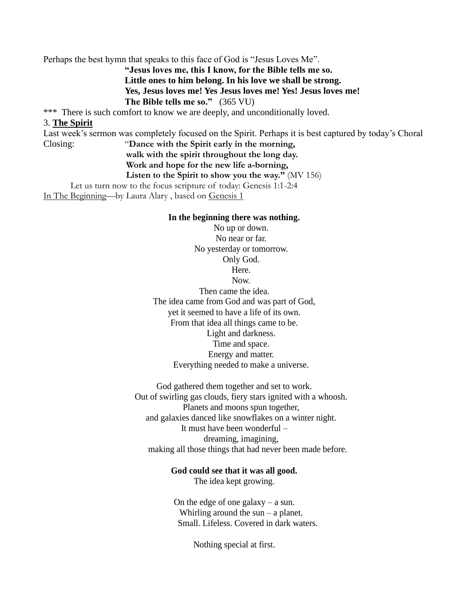Perhaps the best hymn that speaks to this face of God is "Jesus Loves Me".

**"Jesus loves me, this I know, for the Bible tells me so. Little ones to him belong. In his love we shall be strong. Yes, Jesus loves me! Yes Jesus loves me! Yes! Jesus loves me! The Bible tells me so."** (365 VU)

\*\*\* There is such comfort to know we are deeply, and unconditionally loved.

## 3. **The Spirit**

Last week's sermon was completely focused on the Spirit. Perhaps it is best captured by today's Choral Closing: "**Dance with the Spirit early in the morning, walk with the spirit throughout the long day.**

## **Work and hope for the new life a-borning,**

**Listen to the Spirit to show you the way."** (MV 156)

Let us turn now to the focus scripture of today: Genesis 1:1-2:4

In The Beginning—by Laura Alary , based on Genesis 1

### **In the beginning there was nothing.**

No up or down. No near or far. No yesterday or tomorrow. Only God. Here. Now. Then came the idea. The idea came from God and was part of God, yet it seemed to have a life of its own. From that idea all things came to be. Light and darkness.

Time and space. Energy and matter. Everything needed to make a universe.

God gathered them together and set to work. Out of swirling gas clouds, fiery stars ignited with a whoosh. Planets and moons spun together, and galaxies danced like snowflakes on a winter night. It must have been wonderful – dreaming, imagining, making all those things that had never been made before.

## **God could see that it was all good.**

The idea kept growing.

On the edge of one galaxy  $-$  a sun. Whirling around the sun – a planet. Small. Lifeless. Covered in dark waters.

Nothing special at first.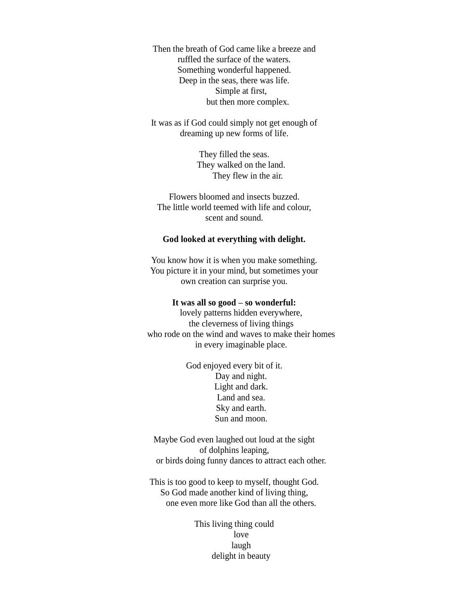Then the breath of God came like a breeze and ruffled the surface of the waters. Something wonderful happened. Deep in the seas, there was life. Simple at first, but then more complex.

It was as if God could simply not get enough of dreaming up new forms of life.

> They filled the seas. They walked on the land. They flew in the air.

Flowers bloomed and insects buzzed. The little world teemed with life and colour, scent and sound.

## **God looked at everything with delight.**

You know how it is when you make something. You picture it in your mind, but sometimes your own creation can surprise you.

## **It was all so good – so wonderful:**

lovely patterns hidden everywhere, the cleverness of living things who rode on the wind and waves to make their homes in every imaginable place.

> God enjoyed every bit of it. Day and night. Light and dark. Land and sea. Sky and earth. Sun and moon.

Maybe God even laughed out loud at the sight of dolphins leaping, or birds doing funny dances to attract each other.

This is too good to keep to myself, thought God. So God made another kind of living thing, one even more like God than all the others.

> This living thing could love laugh delight in beauty